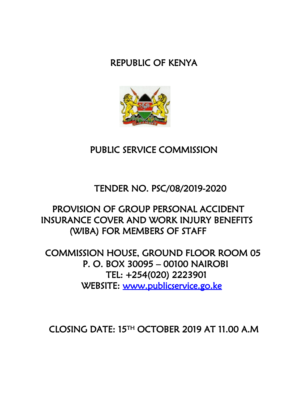# REPUBLIC OF KENYA



# PUBLIC SERVICE COMMISSION

# TENDER NO. PSC/08/2019-2020

# PROVISION OF GROUP PERSONAL ACCIDENT INSURANCE COVER AND WORK INJURY BENEFITS (WIBA) FOR MEMBERS OF STAFF

COMMISSION HOUSE, GROUND FLOOR ROOM 05 P. O. BOX 30095 – 00100 NAIROBI TEL: +254(020) 2223901 WEBSITE: [www.publicservice.go.ke](http://www.publicservice.go.ke/) 

CLOSING DATE: 15TH OCTOBER 2019 AT 11.00 A.M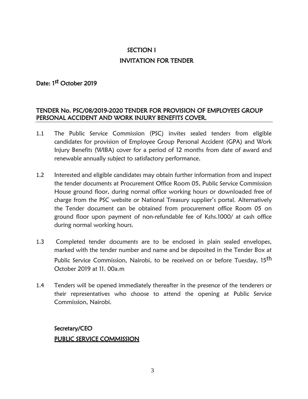# SECTION I INVITATION FOR TENDER

# Date: 1<sup>st</sup> October 2019

### TENDER No. PSC/08/2019-2020 TENDER FOR PROVISION OF EMPLOYEES GROUP PERSONAL ACCIDENT AND WORK INJURY BENEFITS COVER.

- 1.1 The Public Service Commission (PSC) invites sealed tenders from eligible candidates for provision of Employee Group Personal Accident (GPA) and Work Injury Benefits (WIBA) cover for a period of 12 months from date of award and renewable annually subject to satisfactory performance.
- 1.2 Interested and eligible candidates may obtain further information from and inspect the tender documents at Procurement Office Room 05, Public Service Commission House ground floor, during normal office working hours or downloaded free of charge from the PSC website or National Treasury supplier's portal. Alternatively the Tender document can be obtained from procurement office Room 05 on ground floor upon payment of non-refundable fee of Kshs.1000/ at cash office during normal working hours.
- 1.3 Completed tender documents are to be enclosed in plain sealed envelopes, marked with the tender number and name and be deposited in the Tender Box at Public Service Commission, Nairobi, to be received on or before Tuesday, 15<sup>th</sup> October 2019 at 11. 00a.m
- 1.4 Tenders will be opened immediately thereafter in the presence of the tenderers or their representatives who choose to attend the opening at Public Service Commission, Nairobi.

# Secretary/CEO PUBLIC SERVICE COMMISSION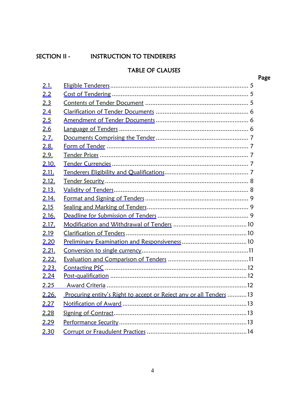# <span id="page-3-0"></span>SECTION II - INSTRUCTION TO TENDERERS

# TABLE OF CLAUSES

Page

| 2.1.  |                                                                    |
|-------|--------------------------------------------------------------------|
| 2.2   |                                                                    |
| 2.3   |                                                                    |
| 2.4   |                                                                    |
| 2.5   |                                                                    |
| 2.6   |                                                                    |
| 2.7.  |                                                                    |
| 2.8.  |                                                                    |
| 2.9.  |                                                                    |
| 2.10. |                                                                    |
| 2.11. |                                                                    |
| 2.12. |                                                                    |
| 2.13. |                                                                    |
| 2.14. |                                                                    |
| 2.15  |                                                                    |
| 2.16. |                                                                    |
| 2.17. |                                                                    |
| 2.19  |                                                                    |
| 2.20  |                                                                    |
| 2.21. |                                                                    |
| 2.22. |                                                                    |
| 2.23. |                                                                    |
| 2.24  |                                                                    |
| 2.25  |                                                                    |
| 2.26. | Procuring entity's Right to accept or Reject any or all Tenders 13 |
| 2.27  |                                                                    |
| 2.28  |                                                                    |
| 2.29  |                                                                    |
| 2.30  |                                                                    |

4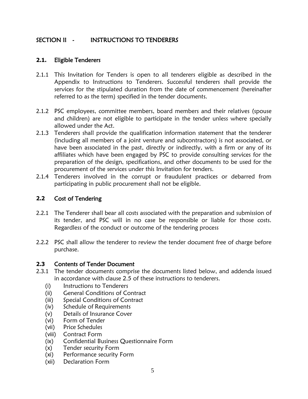## SECTION II - INSTRUCTIONS TO TENDERERS

### <span id="page-4-0"></span>**2.1.** Eligible Tenderers

- 2.1.1 This Invitation for Tenders is open to all tenderers eligible as described in the Appendix to Instructions to Tenderers. Successful tenderers shall provide the services for the stipulated duration from the date of commencement (hereinafter referred to as the term) specified in the tender documents.
- 2.1.2 PSC employees, committee members, board members and their relatives (spouse and children) are not eligible to participate in the tender unless where specially allowed under the Act.
- 2.1.3 Tenderers shall provide the qualification information statement that the tenderer (including all members of a joint venture and subcontractors) is not associated, or have been associated in the past, directly or indirectly, with a firm or any of its affiliates which have been engaged by PSC to provide consulting services for the preparation of the design, specifications, and other documents to be used for the procurement of the services under this Invitation for tenders.
- 2.1.4 Tenderers involved in the corrupt or fraudulent practices or debarred from participating in public procurement shall not be eligible.

### <span id="page-4-1"></span>**2.2** Cost of Tendering

- 2.2.1 The Tenderer shall bear all costs associated with the preparation and submission of its tender, and PSC will in no case be responsible or liable for those costs. Regardless of the conduct or outcome of the tendering process
- 2.2.2 PSC shall allow the tenderer to review the tender document free of charge before purchase.

### <span id="page-4-2"></span>**2.3** Contents of Tender Document

- 2.3.1 The tender documents comprise the documents listed below, and addenda issued in accordance with clause 2.5 of these instructions to tenderers.
	- (i) Instructions to Tenderers
	- (ii) General Conditions of Contract
	- (iii) Special Conditions of Contract
	- (iv) Schedule of Requirements
	- (v) Details of Insurance Cover
	- (vi) Form of Tender
	- (vii) Price Schedules
	- (viii) Contract Form
	- (ix) Confidential Business Questionnaire Form
	- (x) Tender security Form
	- (xi) Performance security Form
	- (xii) Declaration Form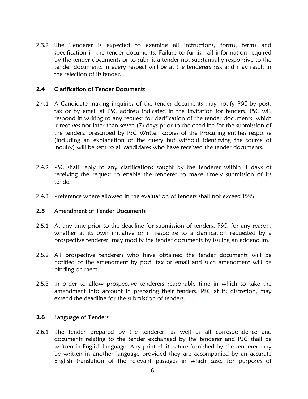2.3.2 The Tenderer is expected to examine all instructions, forms, terms and specification in the tender documents. Failure to furnish all information required by the tender documents or to submit a tender not substantially responsive to the tender documents in every respect will be at the tenderers risk and may result in the rejection of its tender.

### <span id="page-5-0"></span>**2.4** Clarification of Tender Documents

- 2.4.1 A Candidate making inquiries of the tender documents may notify PSC by post, fax or by email at PSC address indicated in the Invitation for tenders. PSC will respond in writing to any request for clarification of the tender documents, which it receives not later than seven (7) days prior to the deadline for the submission of the tenders, prescribed by PSC Written copies of the Procuring entities response (including an explanation of the query but without identifying the source of inquiry) will be sent to all candidates who have received the tender documents.
- 2.4.2 PSC shall reply to any clarifications sought by the tenderer within 3 days of receiving the request to enable the tenderer to make timely submission of its tender.
- 2.4.3 Preference where allowed in the evaluation of tenders shall not exceed 15%

### <span id="page-5-1"></span>**2.5** Amendment of Tender Documents

- 2.5.1 At any time prior to the deadline for submission of tenders, PSC, for any reason, whether at its own initiative or in response to a clarification requested by a prospective tenderer, may modify the tender documents by issuing an addendum.
- 2.5.2 All prospective tenderers who have obtained the tender documents will be notified of the amendment by post, fax or email and such amendment will be binding on them.
- 2.5.3 In order to allow prospective tenderers reasonable time in which to take the amendment into account in preparing their tenders, PSC at its discretion, may extend the deadline for the submission of tenders.

### <span id="page-5-2"></span>**2.6** Language of Tenders

2.6.1 The tender prepared by the tenderer, as well as all correspondence and documents relating to the tender exchanged by the tenderer and PSC shall be written in English language. Any printed literature furnished by the tenderer may be written in another language provided they are accompanied by an accurate English translation of the relevant passages in which case, for purposes of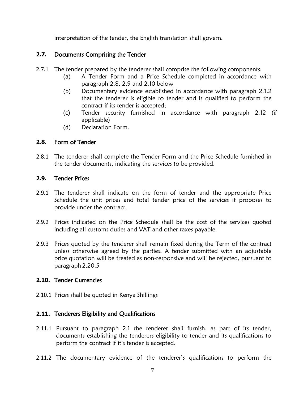interpretation of the tender, the English translation shall govern.

### <span id="page-6-0"></span>**2.7.** Documents Comprising the Tender

- 2.7.1 The tender prepared by the tenderer shall comprise the following components:
	- (a) A Tender Form and a Price Schedule completed in accordance with paragraph 2.8, 2.9 and 2.10 below
	- (b) Documentary evidence established in accordance with paragraph 2.1.2 that the tenderer is eligible to tender and is qualified to perform the contract if its tender is accepted;
	- (c) Tender security furnished in accordance with paragraph 2.12 (if applicable)
	- (d) Declaration Form.

## <span id="page-6-1"></span>**2.8.** Form of Tender

2.8.1 The tenderer shall complete the Tender Form and the Price Schedule furnished in the tender documents, indicating the services to be provided.

### <span id="page-6-2"></span>**2.9.** Tender Prices

- 2.9.1 The tenderer shall indicate on the form of tender and the appropriate Price Schedule the unit prices and total tender price of the services it proposes to provide under the contract.
- 2.9.2 Prices indicated on the Price Schedule shall be the cost of the services quoted including all customs duties and VAT and other taxes payable.
- 2.9.3 Prices quoted by the tenderer shall remain fixed during the Term of the contract unless otherwise agreed by the parties. A tender submitted with an adjustable price quotation will be treated as non-responsive and will be rejected, pursuant to paragraph 2.20.5

### <span id="page-6-3"></span>**2.10.** Tender Currencies

2.10.1 Prices shall be quoted in Kenya Shillings

### <span id="page-6-4"></span>**2.11.** Tenderers Eligibility and Qualifications

- 2.11.1 Pursuant to paragraph 2.1 the tenderer shall furnish, as part of its tender, documents establishing the tenderers eligibility to tender and its qualifications to perform the contract if it's tender is accepted.
- 2.11.2 The documentary evidence of the tenderer's qualifications to perform the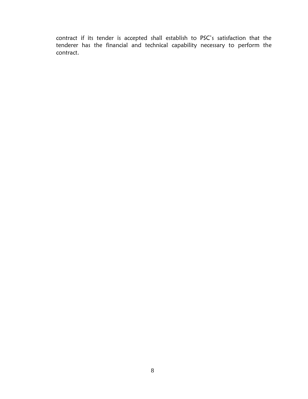contract if its tender is accepted shall establish to PSC's satisfaction that the tenderer has the financial and technical capability necessary to perform the contract.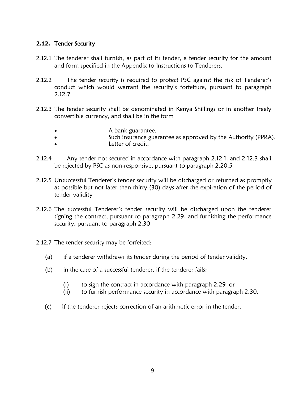### <span id="page-8-0"></span>**2.12.** Tender Security

- 2.12.1 The tenderer shall furnish, as part of its tender, a tender security for the amount and form specified in the Appendix to Instructions to Tenderers.
- 2.12.2 The tender security is required to protect PSC against the risk of Tenderer's conduct which would warrant the security's forfeiture, pursuant to paragraph 2.12.7
- 2.12.3 The tender security shall be denominated in Kenya Shillings or in another freely convertible currency, and shall be in the form
	- A bank guarantee.
	- Such insurance guarantee as approved by the Authority (PPRA).
	- Letter of credit.
- 2.12.4 Any tender not secured in accordance with paragraph 2.12.1. and 2.12.3 shall be rejected by PSC as non-responsive, pursuant to paragraph 2.20.5
- 2.12.5 Unsuccessful Tenderer's tender security will be discharged or returned as promptly as possible but not later than thirty (30) days after the expiration of the period of tender validity
- 2.12.6 The successful Tenderer's tender security will be discharged upon the tenderer signing the contract, pursuant to paragraph 2.29, and furnishing the performance security, pursuant to paragraph 2.30
- 2.12.7 The tender security may be forfeited:
	- (a) if a tenderer withdraws its tender during the period of tender validity.
	- (b) in the case of a successful tenderer, if the tenderer fails:
		- (i) to sign the contract in accordance with paragraph 2.29 or
		- (ii) to furnish performance security in accordance with paragraph 2.30.
	- (c) If the tenderer rejects correction of an arithmetic error in the tender.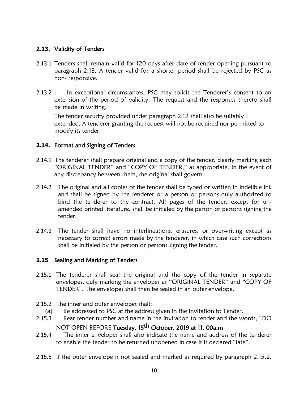### <span id="page-9-0"></span>**2.13.** Validity of Tenders

- 2.13.1 Tenders shall remain valid for 120 days after date of tender opening pursuant to paragraph 2.18. A tender valid for a shorter period shall be rejected by PSC as non- responsive.
- 2.13.2 In exceptional circumstances, PSC may solicit the Tenderer's consent to an extension of the period of validity. The request and the responses thereto shall be made in writing.

The tender security provided under paragraph 2.12 shall also be suitably extended. A tenderer granting the request will not be required nor permitted to modify its tender.

### <span id="page-9-1"></span>**2.14.** Format and Signing of Tenders

- 2.14.1 The tenderer shall prepare original and a copy of the tender, clearly marking each "ORIGINAL TENDER" and "COPY OF TENDER," as appropriate. In the event of any discrepancy between them, the original shall govern.
- 2.14.2 The original and all copies of the tender shall be typed or written in indelible ink and shall be signed by the tenderer or a person or persons duly authorized to bind the tenderer to the contract. All pages of the tender, except for unamended printed literature, shall be initialed by the person or persons signing the tender.
- 2.14.3 The tender shall have no interlineations, erasures, or overwriting except as necessary to correct errors made by the tenderer, in which case such corrections shall be initialed by the person or persons signing the tender.

### <span id="page-9-2"></span>**2.15** Sealing and Marking of Tenders

- 2.15.1 The tenderer shall seal the original and the copy of the tender in separate envelopes, duly marking the envelopes as "ORIGINAL TENDER" and "COPY OF TENDER". The envelopes shall then be sealed in an outer envelope.
- 2.15.2 The inner and outer envelopes shall:
	- (a) Be addressed to PSC at the address given in the Invitation to Tender.
- 2.15.3 Bear tender number and name in the invitation to tender and the words, "DO NOT OPEN BEFORE <mark>Tuesday, 15<sup>th</sup> October, 2019 at 11. 00a.m</mark>
- 2.15.4 The inner envelopes shall also indicate the name and address of the tenderer to enable the tender to be returned unopened in case it is declared "late".
- 2.15.5 If the outer envelope is not sealed and marked as required by paragraph 2.15.2,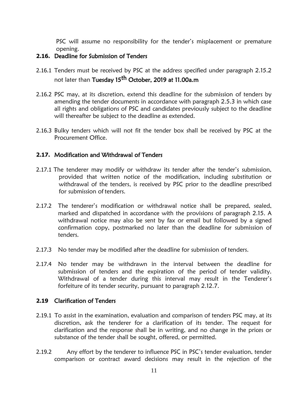PSC will assume no responsibility for the tender's misplacement or premature opening.

### <span id="page-10-0"></span>**2.16.** Deadline for Submission of Tenders

- 2.16.1 Tenders must be received by PSC at the address specified under paragraph 2.15.2 not later than Tuesday 15<sup>th</sup> October, 2019 at 11.00a.m
- 2.16.2 PSC may, at its discretion, extend this deadline for the submission of tenders by amending the tender documents in accordance with paragraph 2.5.3 in which case all rights and obligations of PSC and candidates previously subject to the deadline will thereafter be subject to the deadline as extended.
- 2.16.3 Bulky tenders which will not fit the tender box shall be received by PSC at the Procurement Office.

### <span id="page-10-1"></span>**2.17.** Modification and Withdrawal of Tenders

- 2.17.1 The tenderer may modify or withdraw its tender after the tender's submission, provided that written notice of the modification, including substitution or withdrawal of the tenders, is received by PSC prior to the deadline prescribed for submission of tenders.
- 2.17.2 The tenderer's modification or withdrawal notice shall be prepared, sealed, marked and dispatched in accordance with the provisions of paragraph 2.15. A withdrawal notice may also be sent by fax or email but followed by a signed confirmation copy, postmarked no later than the deadline for submission of tenders.
- 2.17.3 No tender may be modified after the deadline for submission of tenders.
- 2.17.4 No tender may be withdrawn in the interval between the deadline for submission of tenders and the expiration of the period of tender validity. Withdrawal of a tender during this interval may result in the Tenderer's forfeiture of its tender security, pursuant to paragraph 2.12.7.

#### <span id="page-10-2"></span>**2.19** Clarification of Tenders

- 2.19.1 To assist in the examination, evaluation and comparison of tenders PSC may, at its discretion, ask the tenderer for a clarification of its tender. The request for clarification and the response shall be in writing, and no change in the prices or substance of the tender shall be sought, offered, or permitted.
- 2.19.2 Any effort by the tenderer to influence PSC in PSC's tender evaluation, tender comparison or contract award decisions may result in the rejection of the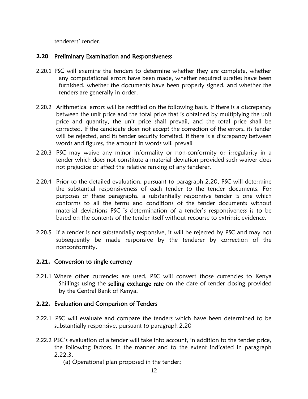tenderers' tender.

### <span id="page-11-0"></span>**2.20** Preliminary Examination and Responsiveness

- 2.20.1 PSC will examine the tenders to determine whether they are complete, whether any computational errors have been made, whether required sureties have been furnished, whether the documents have been properly signed, and whether the tenders are generally in order.
- 2.20.2 Arithmetical errors will be rectified on the following basis. If there is a discrepancy between the unit price and the total price that is obtained by multiplying the unit price and quantity, the unit price shall prevail, and the total price shall be corrected. If the candidate does not accept the correction of the errors, its tender will be rejected, and its tender security forfeited. If there is a discrepancy between words and figures, the amount in words will prevail
- 2.20.3 PSC may waive any minor informality or non-conformity or irregularity in a tender which does not constitute a material deviation provided such waiver does not prejudice or affect the relative ranking of any tenderer.
- 2.20.4 Prior to the detailed evaluation, pursuant to paragraph 2.20, PSC will determine the substantial responsiveness of each tender to the tender documents. For purposes of these paragraphs, a substantially responsive tender is one which conforms to all the terms and conditions of the tender documents without material deviations PSC 's determination of a tender's responsiveness is to be based on the contents of the tender itself without recourse to extrinsic evidence.
- 2.20.5 If a tender is not substantially responsive, it will be rejected by PSC and may not subsequently be made responsive by the tenderer by correction of the nonconformity.

### <span id="page-11-1"></span>**2.21.** Conversion to single currency

2.21.1 Where other currencies are used, PSC will convert those currencies to Kenya Shillings using the selling exchange rate on the date of tender closing provided by the Central Bank of Kenya.

### <span id="page-11-2"></span>**2.22.** Evaluation and Comparison of Tenders

- 2.22.1 PSC will evaluate and compare the tenders which have been determined to be substantially responsive, pursuant to paragraph 2.20
- 2.22.2 PSC's evaluation of a tender will take into account, in addition to the tender price, the following factors, in the manner and to the extent indicated in paragraph 2.22.3.
	- (a) Operational plan proposed in the tender;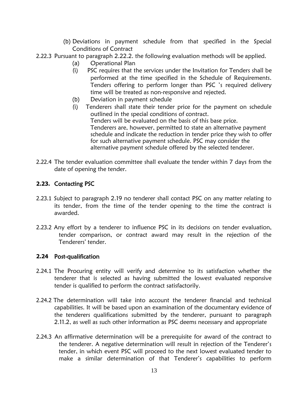- (b) Deviations in payment schedule from that specified in the Special Conditions of Contract
- 2.22.3 Pursuant to paragraph 2.22.2. the following evaluation methods will be applied.
	- (a) Operational Plan
	- (i) PSC requires that the services under the Invitation for Tenders shall be performed at the time specified in the Schedule of Requirements. Tenders offering to perform longer than PSC 's required delivery time will be treated as non-responsive and rejected.
	- (b) Deviation in payment schedule
	- (i) Tenderers shall state their tender price for the payment on schedule outlined in the special conditions of contract. Tenders will be evaluated on the basis of this base price. Tenderers are, however, permitted to state an alternative payment schedule and indicate the reduction in tender price they wish to offer for such alternative payment schedule. PSC may consider the alternative payment schedule offered by the selected tenderer.
- 2.22.4 The tender evaluation committee shall evaluate the tender within 7 days from the date of opening the tender.

### <span id="page-12-0"></span>**2.23.** Contacting PSC

- 2.23.1 Subject to paragraph 2.19 no tenderer shall contact PSC on any matter relating to its tender, from the time of the tender opening to the time the contract is awarded.
- 2.23.2 Any effort by a tenderer to influence PSC in its decisions on tender evaluation, tender comparison, or contract award may result in the rejection of the Tenderers' tender.

### <span id="page-12-1"></span>**2.24** Post-qualification

- 2.24.1 The Procuring entity will verify and determine to its satisfaction whether the tenderer that is selected as having submitted the lowest evaluated responsive tender is qualified to perform the contract satisfactorily.
- 2.24.2 The determination will take into account the tenderer financial and technical capabilities. It will be based upon an examination of the documentary evidence of the tenderers qualifications submitted by the tenderer, pursuant to paragraph 2.11.2, as well as such other information as PSC deems necessary and appropriate
- 2.24.3 An affirmative determination will be a prerequisite for award of the contract to the tenderer. A negative determination will result in rejection of the Tenderer's tender, in which event PSC will proceed to the next lowest evaluated tender to make a similar determination of that Tenderer's capabilities to perform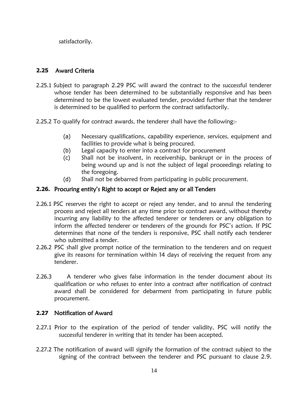satisfactorily.

### <span id="page-13-0"></span>**2.25** Award Criteria

- 2.25.1 Subject to paragraph 2.29 PSC will award the contract to the successful tenderer whose tender has been determined to be substantially responsive and has been determined to be the lowest evaluated tender, provided further that the tenderer is determined to be qualified to perform the contract satisfactorily.
- 2.25.2 To qualify for contract awards, the tenderer shall have the following:-
	- (a) Necessary qualifications, capability experience, services, equipment and facilities to provide what is being procured.
	- (b) Legal capacity to enter into a contract for procurement
	- (c) Shall not be insolvent, in receivership, bankrupt or in the process of being wound up and is not the subject of legal proceedings relating to the foregoing.
	- (d) Shall not be debarred from participating in public procurement.

### <span id="page-13-1"></span>**2.26.** Procuring entity's Right to accept or Reject any or all Tenders

- 2.26.1 PSC reserves the right to accept or reject any tender, and to annul the tendering process and reject all tenders at any time prior to contract award, without thereby incurring any liability to the affected tenderer or tenderers or any obligation to inform the affected tenderer or tenderers of the grounds for PSC's action. If PSC determines that none of the tenders is responsive, PSC shall notify each tenderer who submitted a tender.
- 2.26.2 PSC shall give prompt notice of the termination to the tenderers and on request give its reasons for termination within 14 days of receiving the request from any tenderer.
- 2.26.3 A tenderer who gives false information in the tender document about its qualification or who refuses to enter into a contract after notification of contract award shall be considered for debarment from participating in future public procurement.

### <span id="page-13-2"></span>**2.27** Notification of Award

- 2.27.1 Prior to the expiration of the period of tender validity, PSC will notify the successful tenderer in writing that its tender has been accepted.
- 2.27.2 The notification of award will signify the formation of the contract subject to the signing of the contract between the tenderer and PSC pursuant to clause 2.9.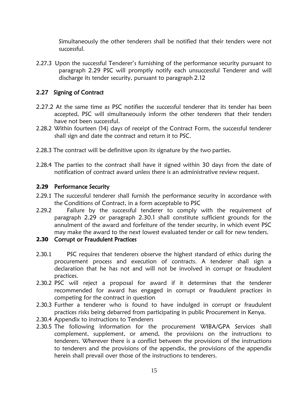Simultaneously the other tenderers shall be notified that their tenders were not successful.

2.27.3 Upon the successful Tenderer's furnishing of the performance security pursuant to paragraph 2.29 PSC will promptly notify each unsuccessful Tenderer and will discharge its tender security, pursuant to paragraph 2.12

### <span id="page-14-0"></span>2.27 Signing of Contract

- 2.27.2 At the same time as PSC notifies the successful tenderer that its tender has been accepted, PSC will simultaneously inform the other tenderers that their tenders have not been successful.
- 2.28.2 Within fourteen (14) days of receipt of the Contract Form, the successful tenderer shall sign and date the contract and return it to PSC.
- 2.28.3 The contract will be definitive upon its signature by the two parties.
- 2.28.4 The parties to the contract shall have it signed within 30 days from the date of notification of contract award unless there is an administrative review request.

### <span id="page-14-1"></span>**2.29** Performance Security

- 2.29.1 The successful tenderer shall furnish the performance security in accordance with the Conditions of Contract, in a form acceptable to PSC
- 2.29.2 Failure by the successful tenderer to comply with the requirement of paragraph 2.29 or paragraph 2.30.1 shall constitute sufficient grounds for the annulment of the award and forfeiture of the tender security, in which event PSC may make the award to the next lowest evaluated tender or call for new tenders.

#### <span id="page-14-2"></span>**2.30** Corrupt or Fraudulent Practices

- 2.30.1 PSC requires that tenderers observe the highest standard of ethics during the procurement process and execution of contracts. A tenderer shall sign a declaration that he has not and will not be involved in corrupt or fraudulent practices.
- 2.30.2 PSC will reject a proposal for award if it determines that the tenderer recommended for award has engaged in corrupt or fraudulent practices in competing for the contract in question
- 2.30.3 Further a tenderer who is found to have indulged in corrupt or fraudulent practices risks being debarred from participating in public Procurement in Kenya.
- 2.30.4 Appendix to instructions to Tenderers
- 2.30.5 The following information for the procurement WIBA/GPA Services shall complement, supplement, or amend, the provisions on the instructions to tenderers. Wherever there is a conflict between the provisions of the instructions to tenderers and the provisions of the appendix, the provisions of the appendix herein shall prevail over those of the instructions to tenderers.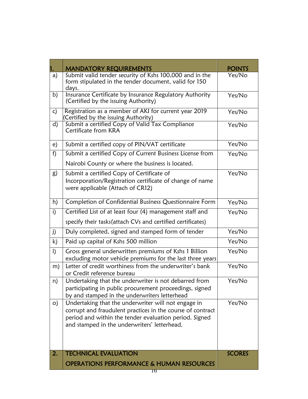|              | <b>MANDATORY REQUIREMENTS</b>                                                                                                                                                                                               | POINTS        |
|--------------|-----------------------------------------------------------------------------------------------------------------------------------------------------------------------------------------------------------------------------|---------------|
| a)           | Submit valid tender security of Kshs 100,000 and in the<br>form stipulated in the tender document, valid for 150<br>days.                                                                                                   | Yes/No        |
| b)           | Insurance Certificate by Insurance Regulatory Authority<br>(Certified by the issuing Authority)                                                                                                                             | Yes/No        |
| c)           | Registration as a member of AKI for current year 2019<br>(Certified by the issuing Authority)                                                                                                                               | Yes/No        |
| d)           | Submit a certified Copy of Valid Tax Compliance<br>Certificate from KRA                                                                                                                                                     | Yes/No        |
| e)           | Submit a certified copy of PIN/VAT certificate                                                                                                                                                                              | Yes/No        |
| f)           | Submit a certified Copy of Current Business License from                                                                                                                                                                    | Yes/No        |
|              | Nairobi County or where the business is located.                                                                                                                                                                            |               |
| g)           | Submit a certified Copy of Certificate of<br>Incorporation/Registration certificate of change of name<br>were applicable (Attach of CR12)                                                                                   | Yes/No        |
| h)           | Completion of Confidential Business Questionnaire Form                                                                                                                                                                      | Yes/No        |
| i)           | Certified List of at least four (4) management staff and                                                                                                                                                                    | Yes/No        |
|              | specify their tasks (attach CVs and certified certificates)                                                                                                                                                                 |               |
| j)           | Duly completed, signed and stamped form of tender                                                                                                                                                                           | Yes/No        |
| k)           | Paid up capital of Kshs 500 million                                                                                                                                                                                         | Yes/No        |
| $\mathbf{I}$ | Gross general underwritten premiums of Kshs 1 Billion<br>excluding motor vehicle premiums for the last three years                                                                                                          | Yes/No        |
| m)           | Letter of credit worthiness from the underwriter's bank<br>or Credit reference bureau                                                                                                                                       | Yes/No        |
| n)           | Undertaking that the underwriter is not debarred from<br>participating in public procurement proceedings, signed<br>by and stamped in the underwriters letterhead                                                           | Yes/No        |
| $\circ)$     | Undertaking that the underwriter will not engage in<br>corrupt and fraudulent practices in the course of contract<br>period and within the tender evaluation period. Signed<br>and stamped in the underwriters' letterhead. | Yes/No        |
| 2.           | <b>TECHNICAL EVALUATION</b>                                                                                                                                                                                                 | <b>SCORES</b> |
|              | <b>OPERATIONS PERFORMANCE &amp; HUMAN RESOURCES</b>                                                                                                                                                                         |               |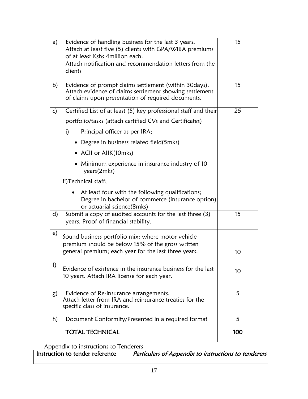| a) | Evidence of handling business for the last 3 years.<br>Attach at least five (5) clients with GPA/WIBA premiums<br>of at least Kshs 4million each.<br>Attach notification and recommendation letters from the<br>clients | 15  |
|----|-------------------------------------------------------------------------------------------------------------------------------------------------------------------------------------------------------------------------|-----|
| b) | Evidence of prompt claims settlement (within 30days).<br>Attach evidence of claims settlement showing settlement<br>of claims upon presentation of required documents.                                                  | 15  |
| c) | Certified List of at least (5) key professional staff and their                                                                                                                                                         | 25  |
|    | portfolio/tasks (attach certified CVs and Certificates)                                                                                                                                                                 |     |
|    | i)<br>Principal officer as per IRA;                                                                                                                                                                                     |     |
|    | • Degree in business related field(5mks)                                                                                                                                                                                |     |
|    | • ACII or AIIK(10mks)                                                                                                                                                                                                   |     |
|    | • Minimum experience in insurance industry of 10<br>years(2mks)                                                                                                                                                         |     |
|    | ii)Technical staff;                                                                                                                                                                                                     |     |
|    | At least four with the following qualifications;<br>Degree in bachelor of commerce (insurance option)<br>or actuarial science(8mks)                                                                                     |     |
| d) | Submit a copy of audited accounts for the last three (3)<br>years. Proof of financial stability.                                                                                                                        | 15  |
| e) | Sound business portfolio mix: where motor vehicle<br>premium should be below 15% of the gross written $\,$<br>general premium; each year for the last three years.                                                      | 10  |
| f) | Evidence of existence in the insurance business for the last<br>10 years. Attach IRA license for each year.                                                                                                             | 10  |
| g) | Evidence of Re-insurance arrangements.<br>Attach letter from IRA and reinsurance treaties for the<br>specific class of insurance.                                                                                       | 5   |
| h) | Document Conformity/Presented in a required format                                                                                                                                                                      | 5   |
|    | <b>TOTAL TECHNICAL</b>                                                                                                                                                                                                  | 100 |

Appendix to instructions to Tenderers

| Instruction to tender reference | Particulars of Appendix to instructions to tenderers |  |
|---------------------------------|------------------------------------------------------|--|
|                                 |                                                      |  |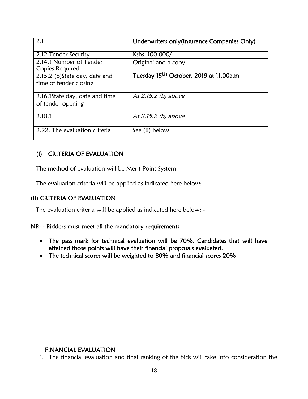| 2.1                                                      | Underwriters only (Insurance Companies Only)       |
|----------------------------------------------------------|----------------------------------------------------|
| 2.12 Tender Security                                     | Kshs. 100,000/                                     |
| 2.14.1 Number of Tender<br>Copies Required               | Original and a copy.                               |
| 2.15.2 (b) State day, date and<br>time of tender closing | Tuesday 15 <sup>th</sup> October, 2019 at 11.00a.m |
| 2.16.1 State day, date and time<br>of tender opening     | As 2.15.2 (b) above                                |
| 2.18.1                                                   | As 2.15.2 (b) above                                |
| 2.22. The evaluation criteria                            | See (II) below                                     |

# (I) CRITERIA OF EVALUATION

The method of evaluation will be Merit Point System

The evaluation criteria will be applied as indicated here below: -

### (II) CRITERIA OF EVALUATION

The evaluation criteria will be applied as indicated here below: -

### NB: - Bidders must meet all the mandatory requirements

- The pass mark for technical evaluation will be 70%. Candidates that will have attained those points will have their financial proposals evaluated.
- The technical scores will be weighted to 80% and financial scores 20%

### FINANCIAL EVALUATION

1. The financial evaluation and final ranking of the bids will take into consideration the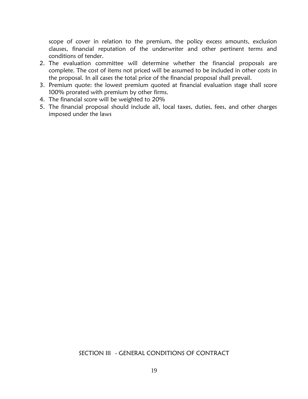scope of cover in relation to the premium, the policy excess amounts, exclusion clauses, financial reputation of the underwriter and other pertinent terms and conditions of tender.

- 2. The evaluation committee will determine whether the financial proposals are complete. The cost of items not priced will be assumed to be included in other costs in the proposal. In all cases the total price of the financial proposal shall prevail.
- 3. Premium quote: the lowest premium quoted at financial evaluation stage shall score 100% prorated with premium by other firms.
- 4. The financial score will be weighted to 20%
- 5. The financial proposal should include all, local taxes, duties, fees, and other charges imposed under the laws

### SECTION III - GENERAL CONDITIONS OF CONTRACT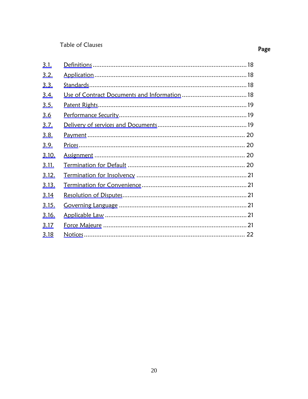# Table of Clauses

| <u>3.1.</u>  |  |
|--------------|--|
| 3.2.         |  |
| 3.3.         |  |
| <u>3.4.</u>  |  |
| <u>3.5.</u>  |  |
| <u>3.6</u>   |  |
| <u>3.7.</u>  |  |
| <u>3.8.</u>  |  |
| <u>3.9.</u>  |  |
| 3.10.        |  |
| 3.11.        |  |
| 3.12.        |  |
| <u>3.13.</u> |  |
| <u>3.14</u>  |  |
| <u>3.15.</u> |  |
| 3.16.        |  |
| 3.17         |  |
| 3.18         |  |

# Page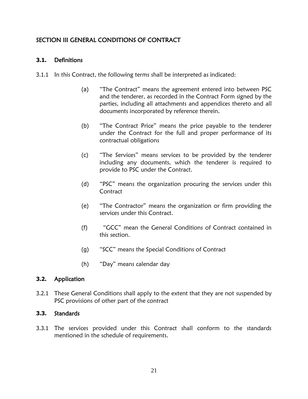# <span id="page-20-0"></span>SECTION III GENERAL CONDITIONS OF CONTRACT

## <span id="page-20-1"></span>**3.1.** Definitions

- 3.1.1 In this Contract, the following terms shall be interpreted as indicated:
	- (a) "The Contract" means the agreement entered into between PSC and the tenderer, as recorded in the Contract Form signed by the parties, including all attachments and appendices thereto and all documents incorporated by reference therein.
	- (b) "The Contract Price" means the price payable to the tenderer under the Contract for the full and proper performance of its contractual obligations
	- (c) "The Services" means services to be provided by the tenderer including any documents, which the tenderer is required to provide to PSC under the Contract.
	- (d) "PSC" means the organization procuring the services under this **Contract**
	- (e) "The Contractor" means the organization or firm providing the services under this Contract.
	- (f) "GCC" mean the General Conditions of Contract contained in this section.
	- (g) "SCC" means the Special Conditions of Contract
	- (h) "Day" means calendar day

### <span id="page-20-2"></span>**3.2.** Application

3.2.1 These General Conditions shall apply to the extent that they are not suspended by PSC provisions of other part of the contract

### <span id="page-20-3"></span>**3.3.** Standards

<span id="page-20-4"></span>3.3.1 The services provided under this Contract shall conform to the standards mentioned in the schedule of requirements.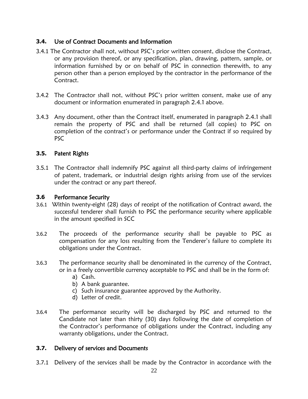# **3.4.** Use of Contract Documents and Information

- 3.4.1 The Contractor shall not, without PSC's prior written consent, disclose the Contract, or any provision thereof, or any specification, plan, drawing, pattern, sample, or information furnished by or on behalf of PSC in connection therewith, to any person other than a person employed by the contractor in the performance of the Contract.
- 3.4.2 The Contractor shall not, without PSC's prior written consent, make use of any document or information enumerated in paragraph 2.4.1 above.
- 3.4.3 Any document, other than the Contract itself, enumerated in paragraph 2.4.1 shall remain the property of PSC and shall be returned (all copies) to PSC on completion of the contract's or performance under the Contract if so required by PSC

### <span id="page-21-0"></span>**3.5.** Patent Rights

3.5.1 The Contractor shall indemnify PSC against all third-party claims of infringement of patent, trademark, or industrial design rights arising from use of the services under the contract or any part thereof.

### <span id="page-21-1"></span>**3.6** Performance Security

- 3.6.1 Within twenty-eight (28) days of receipt of the notification of Contract award, the successful tenderer shall furnish to PSC the performance security where applicable in the amount specified in SCC
- 3.6.2 The proceeds of the performance security shall be payable to PSC as compensation for any loss resulting from the Tenderer's failure to complete its obligations under the Contract.
- 3.6.3 The performance security shall be denominated in the currency of the Contract, or in a freely convertible currency acceptable to PSC and shall be in the form of:
	- a) Cash.
	- b) A bank guarantee.
	- c) Such insurance guarantee approved by the Authority.
	- d) Letter of credit.
- 3.6.4 The performance security will be discharged by PSC and returned to the Candidate not later than thirty (30) days following the date of completion of the Contractor's performance of obligations under the Contract, including any warranty obligations, under the Contract.

### <span id="page-21-2"></span>**3.7.** Delivery of services and Documents

3.7.1 Delivery of the services shall be made by the Contractor in accordance with the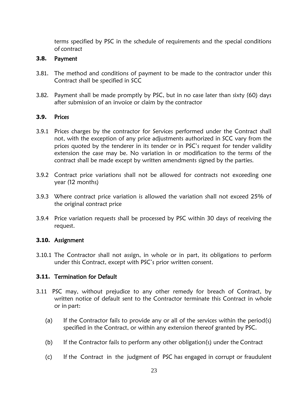terms specified by PSC in the schedule of requirements and the special conditions of contract

### <span id="page-22-0"></span>**3.8.** Payment

- 3.81. The method and conditions of payment to be made to the contractor under this Contract shall be specified in SCC
- 3.82. Payment shall be made promptly by PSC, but in no case later than sixty (60) days after submission of an invoice or claim by the contractor

#### <span id="page-22-1"></span>**3.9.** Prices

- 3.9.1 Prices charges by the contractor for Services performed under the Contract shall not, with the exception of any price adjustments authorized in SCC vary from the prices quoted by the tenderer in its tender or in PSC's request for tender validity extension the case may be. No variation in or modification to the terms of the contract shall be made except by written amendments signed by the parties.
- 3.9.2 Contract price variations shall not be allowed for contracts not exceeding one year (12 months)
- 3.9.3 Where contract price variation is allowed the variation shall not exceed 25% of the original contract price
- 3.9.4 Price variation requests shall be processed by PSC within 30 days of receiving the request.

#### <span id="page-22-2"></span>**3.10.** Assignment

3.10.1 The Contractor shall not assign, in whole or in part, its obligations to perform under this Contract, except with PSC's prior written consent.

### <span id="page-22-3"></span>**3.11.** Termination for Default

- 3.11 PSC may, without prejudice to any other remedy for breach of Contract, by written notice of default sent to the Contractor terminate this Contract in whole or in part:
	- (a) If the Contractor fails to provide any or all of the services within the period(s) specified in the Contract, or within any extension thereof granted by PSC.
	- (b) If the Contractor fails to perform any other obligation(s) under the Contract
	- (c) If the Contract in the judgment of PSC has engaged in corrupt or fraudulent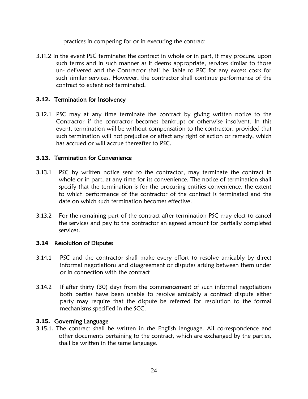practices in competing for or in executing the contract

3.11.2 In the event PSC terminates the contract in whole or in part, it may procure, upon such terms and in such manner as it deems appropriate, services similar to those un- delivered and the Contractor shall be liable to PSC for any excess costs for such similar services. However, the contractor shall continue performance of the contract to extent not terminated.

### <span id="page-23-0"></span>**3.12.** Termination for Insolvency

3.12.1 PSC may at any time terminate the contract by giving written notice to the Contractor if the contractor becomes bankrupt or otherwise insolvent. In this event, termination will be without compensation to the contractor, provided that such termination will not prejudice or affect any right of action or remedy, which has accrued or will accrue thereafter to PSC.

### <span id="page-23-1"></span>**3.13.** Termination for Convenience

- 3.13.1 PSC by written notice sent to the contractor, may terminate the contract in whole or in part, at any time for its convenience. The notice of termination shall specify that the termination is for the procuring entities convenience, the extent to which performance of the contractor of the contract is terminated and the date on which such termination becomes effective.
- 3.13.2 For the remaining part of the contract after termination PSC may elect to cancel the services and pay to the contractor an agreed amount for partially completed services.

### <span id="page-23-2"></span>**3.14** Resolution of Disputes

- 3.14.1 PSC and the contractor shall make every effort to resolve amicably by direct informal negotiations and disagreement or disputes arising between them under or in connection with the contract
- 3.14.2 If after thirty (30) days from the commencement of such informal negotiations both parties have been unable to resolve amicably a contract dispute either party may require that the dispute be referred for resolution to the formal mechanisms specified in the SCC.

### <span id="page-23-3"></span>**3.15.** Governing Language

3.15.1. The contract shall be written in the English language. All correspondence and other documents pertaining to the contract, which are exchanged by the parties, shall be written in the same language.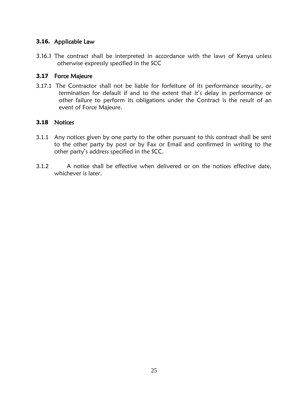### <span id="page-24-0"></span>**3.16.** Applicable Law

3.16.1 The contract shall be interpreted in accordance with the laws of Kenya unless otherwise expressly specified in the SCC

### <span id="page-24-1"></span>**3.17** Force Majeure

3.17.1 The Contractor shall not be liable for forfeiture of its performance security, or termination for default if and to the extent that it's delay in performance or other failure to perform its obligations under the Contract is the result of an event of Force Majeure.

### <span id="page-24-2"></span>**3.18** Notices

- 3.1.1 Any notices given by one party to the other pursuant to this contract shall be sent to the other party by post or by Fax or Email and confirmed in writing to the other party's address specified in the SCC.
- 3.1.2 A notice shall be effective when delivered or on the notices effective date, whichever is later.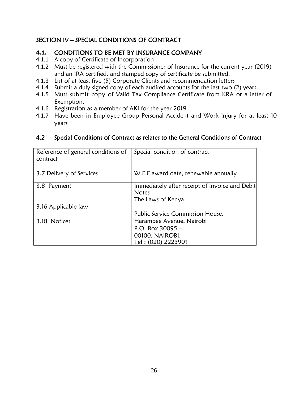# <span id="page-25-0"></span>SECTION IV – SPECIAL CONDITIONS OF CONTRACT

# **4.1.** CONDITIONS TO BE MET BY INSURANCE COMPANY

- 4.1.1 A copy of Certificate of Incorporation
- 4.1.2 Must be registered with the Commissioner of Insurance for the current year (2019) and an IRA certified, and stamped copy of certificate be submitted.
- 4.1.3 List of at least five (5) Corporate Clients and recommendation letters
- 4.1.4 Submit a duly signed copy of each audited accounts for the last two (2) years.
- 4.1.5 Must submit copy of Valid Tax Compliance Certificate from KRA or a letter of Exemption,
- 4.1.6 Registration as a member of AKI for the year 2019
- 4.1.7 Have been in Employee Group Personal Accident and Work Injury for at least 10 years

| Reference of general conditions of<br>contract | Special condition of contract                  |
|------------------------------------------------|------------------------------------------------|
| 3.7 Delivery of Services                       | W.E.F award date, renewable annually           |
| 3.8 Payment                                    | Immediately after receipt of Invoice and Debit |
|                                                | <b>Notes</b>                                   |
|                                                | The Laws of Kenya                              |
| 3.16 Applicable law                            |                                                |
|                                                | Public Service Commission House,               |
| 3.18 Notices                                   | Harambee Avenue, Nairobi                       |
|                                                | P.O. Box $30095 -$                             |
|                                                | 00100, NAIROBI.                                |
|                                                | Tel: (020) 2223901                             |

### 4.2 Special Conditions of Contract as relates to the General Conditions of Contract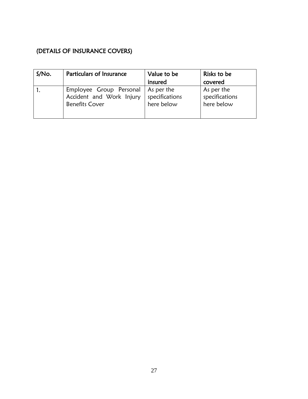# <span id="page-26-0"></span>(DETAILS OF INSURANCE COVERS)

| S/No. | Particulars of Insurance                                                                  | Value to be                  | Risks to be                                |
|-------|-------------------------------------------------------------------------------------------|------------------------------|--------------------------------------------|
|       |                                                                                           | insured                      | covered                                    |
|       | Employee Group Personal   As per the<br>Accident and Work Injury<br><b>Benefits Cover</b> | specifications<br>here below | As per the<br>specifications<br>here below |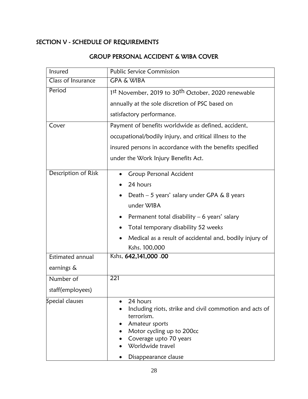# SECTION V - SCHEDULE OF REQUIREMENTS

| Insured             | <b>Public Service Commission</b>                                                                                                                                                                       |  |  |
|---------------------|--------------------------------------------------------------------------------------------------------------------------------------------------------------------------------------------------------|--|--|
| Class of Insurance  | <b>GPA &amp; WIBA</b>                                                                                                                                                                                  |  |  |
| Period              | 1st November, 2019 to 30 <sup>th</sup> October, 2020 renewable                                                                                                                                         |  |  |
|                     | annually at the sole discretion of PSC based on                                                                                                                                                        |  |  |
|                     | satisfactory performance.                                                                                                                                                                              |  |  |
| Cover               | Payment of benefits worldwide as defined, accident,                                                                                                                                                    |  |  |
|                     | occupational/bodily injury, and critical illness to the                                                                                                                                                |  |  |
|                     | insured persons in accordance with the benefits specified                                                                                                                                              |  |  |
|                     | under the Work Injury Benefits Act.                                                                                                                                                                    |  |  |
| Description of Risk | <b>Group Personal Accident</b>                                                                                                                                                                         |  |  |
|                     | 24 hours                                                                                                                                                                                               |  |  |
|                     | Death $-5$ years' salary under GPA & 8 years<br>$\bullet$                                                                                                                                              |  |  |
|                     | under WIBA                                                                                                                                                                                             |  |  |
|                     | Permanent total disability $-6$ years' salary                                                                                                                                                          |  |  |
|                     | Total temporary disability 52 weeks                                                                                                                                                                    |  |  |
|                     | Medical as a result of accidental and, bodily injury of<br>$\bullet$                                                                                                                                   |  |  |
|                     | Kshs. 100,000                                                                                                                                                                                          |  |  |
| Estimated annual    | Kshs. 642,141,000 .00                                                                                                                                                                                  |  |  |
| earnings &          |                                                                                                                                                                                                        |  |  |
| Number of           | 221                                                                                                                                                                                                    |  |  |
| staff(employees)    |                                                                                                                                                                                                        |  |  |
| Special clauses     | 24 hours<br>Including riots, strike and civil commotion and acts of<br>terrorism.<br>Amateur sports<br>Motor cycling up to 200cc<br>Coverage upto 70 years<br>Worldwide travel<br>Disappearance clause |  |  |

# GROUP PERSONAL ACCIDENT & WIBA COVER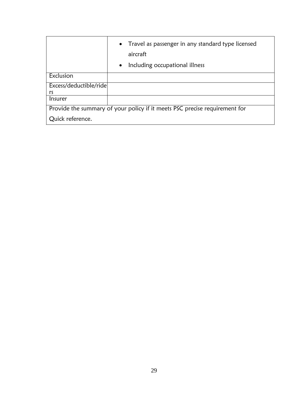|                                                                            | Travel as passenger in any standard type licensed<br>$\bullet$<br>aircraft |  |
|----------------------------------------------------------------------------|----------------------------------------------------------------------------|--|
|                                                                            | Including occupational illness<br>$\bullet$                                |  |
| Exclusion                                                                  |                                                                            |  |
| Excess/deductible/ride<br>rs                                               |                                                                            |  |
| <i>Insurer</i>                                                             |                                                                            |  |
| Provide the summary of your policy if it meets PSC precise requirement for |                                                                            |  |
| Quick reference.                                                           |                                                                            |  |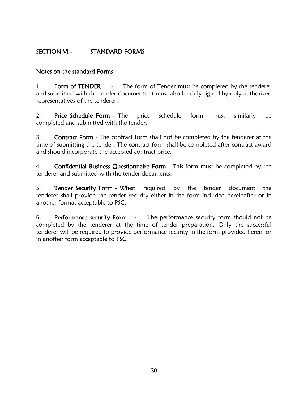# <span id="page-29-0"></span>SECTION VI - STANDARD FORMS

### Notes on the standard Forms

1. Form of TENDER - The form of Tender must be completed by the tenderer and submitted with the tender documents. It must also be duly signed by duly authorized representatives of the tenderer.

2. Price Schedule Form - The price schedule form must similarly be completed and submitted with the tender.

3. Contract Form - The contract form shall not be completed by the tenderer at the time of submitting the tender. The contract form shall be completed after contract award and should incorporate the accepted contract price.

4. Confidential Business Questionnaire Form - This form must be completed by the tenderer and submitted with the tender documents.

5. Tender Security Form - When required by the tender document the tenderer shall provide the tender security either in the form included hereinafter or in another format acceptable to PSC.

6. Performance security Form - The performance security form should not be completed by the tenderer at the time of tender preparation. Only the successful tenderer will be required to provide performance security in the form provided herein or in another form acceptable to PSC.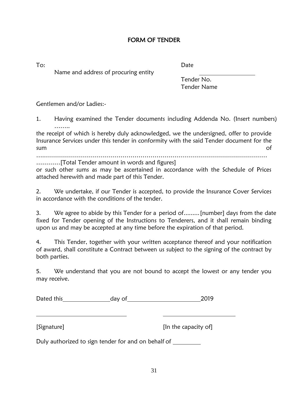### FORM OF TENDER

<span id="page-30-0"></span>

To: Date

Name and address of procuring entity

Tender No. Tender Name

Gentlemen and/or Ladies:-

1. Having examined the Tender documents including Addenda No. (Insert numbers) ……..

the receipt of which is hereby duly acknowledged, we the undersigned, offer to provide Insurance Services under this tender in conformity with the said Tender document for the sum of the contract of the contract of the contract of the contract of the contract of the contract of the contract of the contract of the contract of the contract of the contract of the contract of the contract of the con

….…………………………………………………………………………………………………

…………[Total Tender amount in words and figures]

or such other sums as may be ascertained in accordance with the Schedule of Prices attached herewith and made part of this Tender.

2. We undertake, if our Tender is accepted, to provide the Insurance Cover Services in accordance with the conditions of the tender.

3. We agree to abide by this Tender for a period of.........[number] days from the date fixed for Tender opening of the Instructions to Tenderers, and it shall remain binding upon us and may be accepted at any time before the expiration of that period.

4. This Tender, together with your written acceptance thereof and your notification of award, shall constitute a Contract between us subject to the signing of the contract by both parties.

5. We understand that you are not bound to accept the lowest or any tender you may receive.

Dated this Manuel Charles day of 2019

[Signature] **[In the capacity of]** 

Duly authorized to sign tender for and on behalf of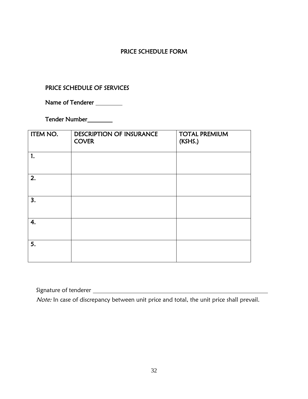## PRICE SCHEDULE FORM

### PRICE SCHEDULE OF SERVICES

Name of Tenderer \_\_\_\_\_\_\_\_\_

Tender Number

| ITEM NO. | <b>DESCRIPTION OF INSURANCE</b><br><b>COVER</b> | <b>TOTAL PREMIUM</b><br>(KSHS.) |
|----------|-------------------------------------------------|---------------------------------|
| 1.       |                                                 |                                 |
| 2.       |                                                 |                                 |
| 3.       |                                                 |                                 |
| 4.       |                                                 |                                 |
| 5.       |                                                 |                                 |

Signature of tenderer

Note: In case of discrepancy between unit price and total, the unit price shall prevail.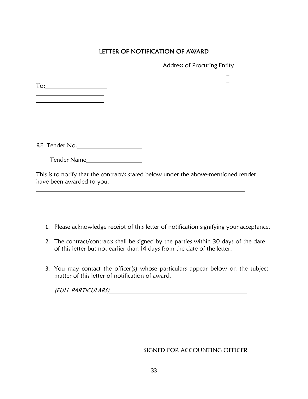# LETTER OF NOTIFICATION OF AWARD

Address of Procuring Entity

 $\overline{a}$ 

To: <u> 1990 - Johann Barbara, martin a</u>

<u> 1980 - Johann Barbara, martxa alemaniar a</u>

RE: Tender No.

Tender Name
<u>Same Andrew Annung von de Tender Name</u>

This is to notify that the contract/s stated below under the above-mentioned tender have been awarded to you.

- 1. Please acknowledge receipt of this letter of notification signifying your acceptance.
- 2. The contract/contracts shall be signed by the parties within 30 days of the date of this letter but not earlier than 14 days from the date of the letter.
- 3. You may contact the officer(s) whose particulars appear below on the subject matter of this letter of notification of award.

(FULL PARTICULARS)

SIGNED FOR ACCOUNTING OFFICER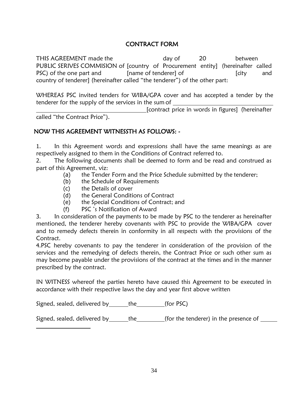# CONTRACT FORM

THIS AGREEMENT made the day of 20 between PUBLIC SERIVES COMMISION of [country of Procurement entity] (hereinafter called PSC) of the one part and [name of tenderer] of [city and country of tenderer] (hereinafter called "the tenderer") of the other part:

WHEREAS PSC invited tenders for WIBA/GPA cover and has accepted a tender by the tenderer for the supply of the services in the sum of

[contract price in words in figures] (hereinafter called "the Contract Price").

## NOW THIS AGREEMENT WITNESSTH AS FOLLOWS: -

1. In this Agreement words and expressions shall have the same meanings as are respectively assigned to them in the Conditions of Contract referred to.

2. The following documents shall be deemed to form and be read and construed as part of this Agreement, viz:

- (a) the Tender Form and the Price Schedule submitted by the tenderer;
- (b) the Schedule of Requirements
- (c) the Details of cover
- (d) the General Conditions of Contract
- (e) the Special Conditions of Contract; and
- (f) PSC 's Notification of Award

3. In consideration of the payments to be made by PSC to the tenderer as hereinafter mentioned, the tenderer hereby covenants with PSC to provide the WIBA/GPA cover and to remedy defects therein in conformity in all respects with the provisions of the Contract.

4.PSC hereby covenants to pay the tenderer in consideration of the provision of the services and the remedying of defects therein, the Contract Price or such other sum as may become payable under the provisions of the contract at the times and in the manner prescribed by the contract.

IN WITNESS whereof the parties hereto have caused this Agreement to be executed in accordance with their respective laws the day and year first above written

Signed, sealed, delivered by the (for PSC)

Signed, sealed, delivered by the (for the tenderer) in the presence of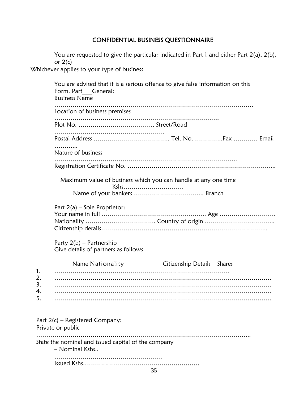# CONFIDENTIAL BUSINESS QUESTIONNAIRE

You are requested to give the particular indicated in Part 1 and either Part 2(a), 2(b), or  $2(c)$ 

<span id="page-34-0"></span>Whichever applies to your type of business

|                            | You are advised that it is a serious offence to give false information on this<br>Form. Part General:<br><b>Business Name</b> |                            |
|----------------------------|-------------------------------------------------------------------------------------------------------------------------------|----------------------------|
|                            | Location of business premises                                                                                                 |                            |
|                            |                                                                                                                               |                            |
|                            |                                                                                                                               |                            |
|                            | Nature of business                                                                                                            |                            |
|                            |                                                                                                                               |                            |
|                            | Maximum value of business which you can handle at any one time<br>Kshs                                                        |                            |
|                            | Part $2(a)$ – Sole Proprietor:<br>Party $2(b)$ – Partnership<br>Give details of partners as follows                           |                            |
| 1.<br>2.<br>3.<br>4.<br>5. | Name Nationality                                                                                                              | Citizenship Details Shares |
|                            |                                                                                                                               |                            |
|                            | Part $2(c)$ – Registered Company:<br>Private or public                                                                        |                            |
|                            | State the nominal and issued capital of the company<br>- Nominal Kshs                                                         |                            |
|                            | 35                                                                                                                            |                            |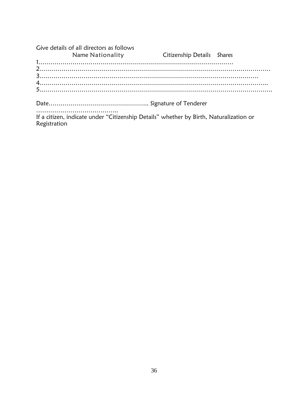| Give details of all directors as follows |                                   |  |
|------------------------------------------|-----------------------------------|--|
| Name Nationality                         | <b>Citizenship Details</b> Shares |  |
|                                          |                                   |  |
|                                          |                                   |  |
|                                          |                                   |  |
|                                          |                                   |  |
|                                          |                                   |  |
|                                          |                                   |  |
|                                          |                                   |  |
|                                          |                                   |  |

If a citizen, indicate under "Citizenship Details" whether by Birth, Naturalization or Registration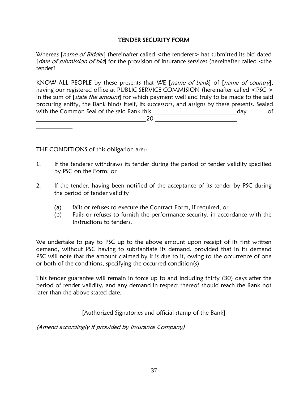### TENDER SECURITY FORM

<span id="page-36-0"></span>Whereas [*name of Bidder*] (hereinafter called <the tenderer> has submitted its bid dated [date of submission of bid] for the provision of insurance services (hereinafter called <the tender?

KNOW ALL PEOPLE by these presents that WE [name of bank] of [name of country], having our registered office at PUBLIC SERVICE COMMISION (hereinafter called <PSC > in the sum of  $[state the amount]$  for which payment well and truly to be made to the said procuring entity, the Bank binds itself, its successors, and assigns by these presents. Sealed with the Common Seal of the said Bank this <u>end and a serien all commons of the said Bank this day</u> of

20

THE CONDITIONS of this obligation are:-

- 1. If the tenderer withdraws its tender during the period of tender validity specified by PSC on the Form; or
- 2. If the tender, having been notified of the acceptance of its tender by PSC during the period of tender validity
	- (a) fails or refuses to execute the Contract Form, if required; or
	- (b) Fails or refuses to furnish the performance security, in accordance with the Instructions to tenders.

We undertake to pay to PSC up to the above amount upon receipt of its first written demand, without PSC having to substantiate its demand, provided that in its demand PSC will note that the amount claimed by it is due to it, owing to the occurrence of one or both of the conditions, specifying the occurred condition(s)

This tender guarantee will remain in force up to and including thirty (30) days after the period of tender validity, and any demand in respect thereof should reach the Bank not later than the above stated date.

[Authorized Signatories and official stamp of the Bank]

(Amend accordingly if provided by Insurance Company)